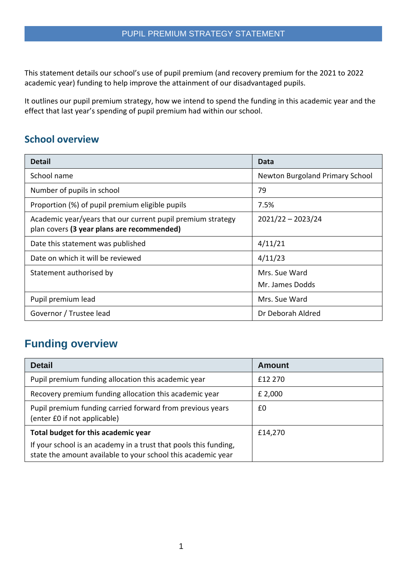This statement details our school's use of pupil premium (and recovery premium for the 2021 to 2022 academic year) funding to help improve the attainment of our disadvantaged pupils.

It outlines our pupil premium strategy, how we intend to spend the funding in this academic year and the effect that last year's spending of pupil premium had within our school.

### **School overview**

| <b>Detail</b>                                                                                             | Data                                   |
|-----------------------------------------------------------------------------------------------------------|----------------------------------------|
| School name                                                                                               | <b>Newton Burgoland Primary School</b> |
| Number of pupils in school                                                                                | 79                                     |
| Proportion (%) of pupil premium eligible pupils                                                           | 7.5%                                   |
| Academic year/years that our current pupil premium strategy<br>plan covers (3 year plans are recommended) | $2021/22 - 2023/24$                    |
| Date this statement was published                                                                         | 4/11/21                                |
| Date on which it will be reviewed                                                                         | 4/11/23                                |
| Statement authorised by                                                                                   | Mrs. Sue Ward                          |
|                                                                                                           | Mr. James Dodds                        |
| Pupil premium lead                                                                                        | Mrs. Sue Ward                          |
| Governor / Trustee lead                                                                                   | Dr Deborah Aldred                      |

## **Funding overview**

| <b>Detail</b>                                                                                                                    | <b>Amount</b> |
|----------------------------------------------------------------------------------------------------------------------------------|---------------|
| Pupil premium funding allocation this academic year                                                                              | £12 270       |
| Recovery premium funding allocation this academic year                                                                           | £ 2,000       |
| Pupil premium funding carried forward from previous years<br>(enter £0 if not applicable)                                        | £0            |
| Total budget for this academic year                                                                                              | £14,270       |
| If your school is an academy in a trust that pools this funding,<br>state the amount available to your school this academic year |               |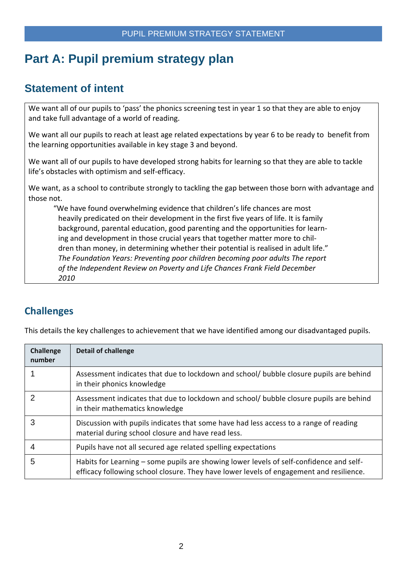# **Part A: Pupil premium strategy plan**

## **Statement of intent**

We want all of our pupils to 'pass' the phonics screening test in year 1 so that they are able to enjoy and take full advantage of a world of reading.

We want all our pupils to reach at least age related expectations by year 6 to be ready to benefit from the learning opportunities available in key stage 3 and beyond.

We want all of our pupils to have developed strong habits for learning so that they are able to tackle life's obstacles with optimism and self-efficacy.

We want, as a school to contribute strongly to tackling the gap between those born with advantage and those not.

"We have found overwhelming evidence that children's life chances are most heavily predicated on their development in the first five years of life. It is family background, parental education, good parenting and the opportunities for learning and development in those crucial years that together matter more to children than money, in determining whether their potential is realised in adult life." *The Foundation Years: Preventing poor children becoming poor adults The report of the Independent Review on Poverty and Life Chances Frank Field December 2010*

## **Challenges**

This details the key challenges to achievement that we have identified among our disadvantaged pupils.

| <b>Challenge</b><br>number | <b>Detail of challenge</b>                                                                                                                                                         |
|----------------------------|------------------------------------------------------------------------------------------------------------------------------------------------------------------------------------|
|                            | Assessment indicates that due to lockdown and school/ bubble closure pupils are behind<br>in their phonics knowledge                                                               |
| 2                          | Assessment indicates that due to lockdown and school/ bubble closure pupils are behind<br>in their mathematics knowledge                                                           |
| 3                          | Discussion with pupils indicates that some have had less access to a range of reading<br>material during school closure and have read less.                                        |
| 4                          | Pupils have not all secured age related spelling expectations                                                                                                                      |
| 5                          | Habits for Learning – some pupils are showing lower levels of self-confidence and self-<br>efficacy following school closure. They have lower levels of engagement and resilience. |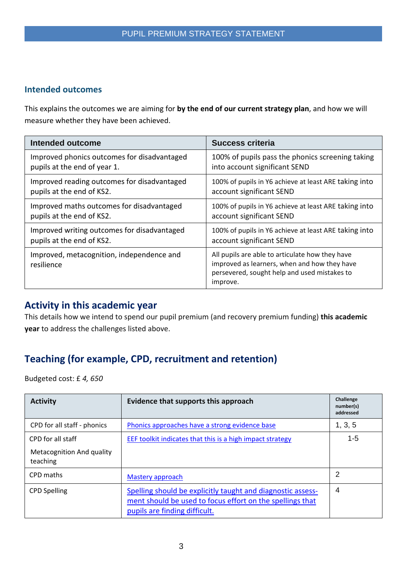#### **Intended outcomes**

This explains the outcomes we are aiming for **by the end of our current strategy plan**, and how we will measure whether they have been achieved.

| Intended outcome                                        | <b>Success criteria</b>                                                                                                                                     |
|---------------------------------------------------------|-------------------------------------------------------------------------------------------------------------------------------------------------------------|
| Improved phonics outcomes for disadvantaged             | 100% of pupils pass the phonics screening taking                                                                                                            |
| pupils at the end of year 1.                            | into account significant SEND                                                                                                                               |
| Improved reading outcomes for disadvantaged             | 100% of pupils in Y6 achieve at least ARE taking into                                                                                                       |
| pupils at the end of KS2.                               | account significant SEND                                                                                                                                    |
| Improved maths outcomes for disadvantaged               | 100% of pupils in Y6 achieve at least ARE taking into                                                                                                       |
| pupils at the end of KS2.                               | account significant SEND                                                                                                                                    |
| Improved writing outcomes for disadvantaged             | 100% of pupils in Y6 achieve at least ARE taking into                                                                                                       |
| pupils at the end of KS2.                               | account significant SEND                                                                                                                                    |
| Improved, metacognition, independence and<br>resilience | All pupils are able to articulate how they have<br>improved as learners, when and how they have<br>persevered, sought help and used mistakes to<br>improve. |

#### **Activity in this academic year**

This details how we intend to spend our pupil premium (and recovery premium funding) **this academic year** to address the challenges listed above.

## **Teaching (for example, CPD, recruitment and retention)**

Budgeted cost: £ *4, 650*

| <b>Activity</b>                       | Evidence that supports this approach                                                                                                                      | Challenge<br>number(s)<br>addressed |
|---------------------------------------|-----------------------------------------------------------------------------------------------------------------------------------------------------------|-------------------------------------|
| CPD for all staff - phonics           | Phonics approaches have a strong evidence base                                                                                                            | 1, 3, 5                             |
| CPD for all staff                     | EEF toolkit indicates that this is a high impact strategy                                                                                                 | $1 - 5$                             |
| Metacognition And quality<br>teaching |                                                                                                                                                           |                                     |
| CPD maths                             | Mastery approach                                                                                                                                          | 2                                   |
| <b>CPD Spelling</b>                   | Spelling should be explicitly taught and diagnostic assess-<br>ment should be used to focus effort on the spellings that<br>pupils are finding difficult. | 4                                   |